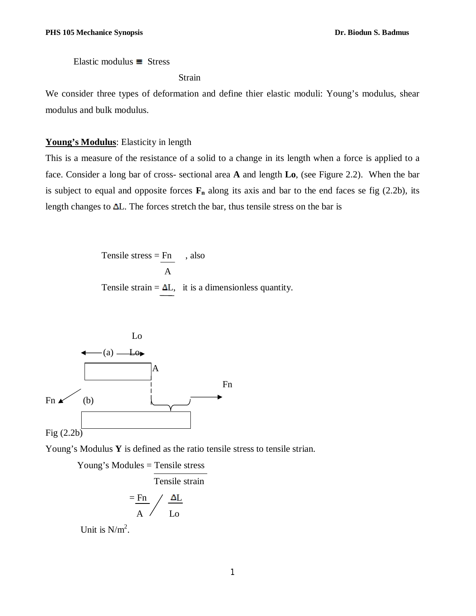Elastic modulus  $\equiv$  Stress

Strain

We consider three types of deformation and define thier elastic moduli: Young's modulus, shear modulus and bulk modulus.

### **Young's Modulus**: Elasticity in length

This is a measure of the resistance of a solid to a change in its length when a force is applied to a face. Consider a long bar of cross- sectional area **A** and length **Lo**, (see Figure 2.2). When the bar is subject to equal and opposite forces  $\mathbf{F}_n$  along its axis and bar to the end faces se fig (2.2b), its length changes to  $\Delta L$ . The forces stretch the bar, thus tensile stress on the bar is

> Tensile stress =  $Fn \,$ , also A Tensile strain =  $\Delta L$ , it is a dimensionless quantity.



Young's Modulus **Y** is defined as the ratio tensile stress to tensile strian.

Young's Modules = Tensile stress

Tensile strain

$$
\frac{F_{\rm R}}{A} / \frac{\Delta L}{L_0}
$$

Unit is  $N/m^2$ .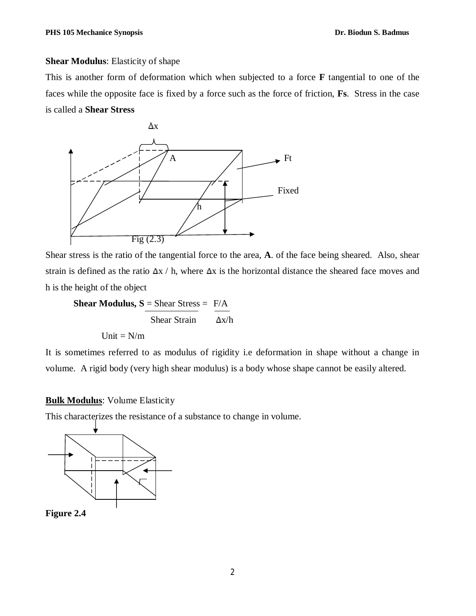### **Shear Modulus**: Elasticity of shape

This is another form of deformation which when subjected to a force **F** tangential to one of the faces while the opposite face is fixed by a force such as the force of friction, **Fs**. Stress in the case is called a **Shear Stress** 



Shear stress is the ratio of the tangential force to the area, **A**. of the face being sheared. Also, shear strain is defined as the ratio  $\Delta x / h$ , where  $\Delta x$  is the horizontal distance the sheared face moves and h is the height of the object

**Shear Modulus,**  $S = Shear Stress = F/A$ Shear Strain  $\Delta x/h$ Unit =  $N/m$ 

It is sometimes referred to as modulus of rigidity i.e deformation in shape without a change in volume. A rigid body (very high shear modulus) is a body whose shape cannot be easily altered.

### **Bulk Modulus**: Volume Elasticity

This characterizes the resistance of a substance to change in volume.



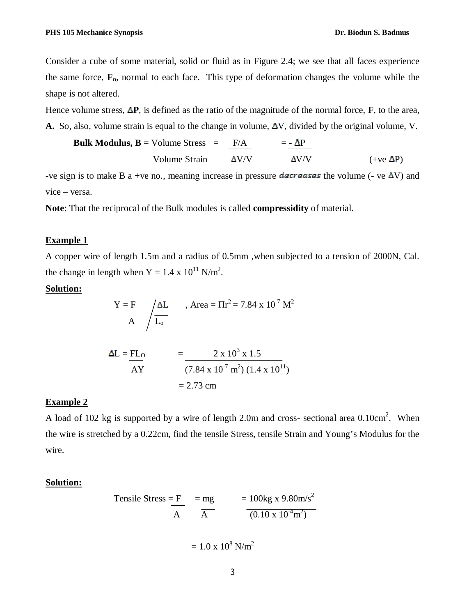Consider a cube of some material, solid or fluid as in Figure 2.4; we see that all faces experience the same force, **Fn**, normal to each face. This type of deformation changes the volume while the shape is not altered.

Hence volume stress,  $\Delta P$ , is defined as the ratio of the magnitude of the normal force,  $\bf{F}$ , to the area, A. So, also, volume strain is equal to the change in volume,  $\Delta V$ , divided by the original volume, V.

**Bulk Modulus, B** = Volume Stress = 
$$
\frac{F/A}{Volume Strain}
$$
 =  $\frac{-\Delta P}{\Delta V/V}$  (+ve  $\Delta P$ )

-ve sign is to make B a +ve no., meaning increase in pressure decreases the volume (- ve  $\Delta V$ ) and vice – versa.

**Note**: That the reciprocal of the Bulk modules is called **compressidity** of material.

## **Example 1**

A copper wire of length 1.5m and a radius of 0.5mm ,when subjected to a tension of 2000N, Cal. the change in length when  $Y = 1.4 \times 10^{11}$  N/m<sup>2</sup>.

## **Solution:**

$$
Y = F \over A \int \frac{\Delta L}{L_o} \qquad \text{Area} = \Pi r^2 = 7.84 \times 10^{-7} \text{ M}^2
$$

$$
\Delta L = FL_0
$$
  
\n
$$
= \frac{2 \times 10^3 \times 1.5}{(7.84 \times 10^{-7} \text{ m}^2) (1.4 \times 10^{11})}
$$
  
\n= 2.73 cm

### **Example 2**

A load of 102 kg is supported by a wire of length 2.0m and cross- sectional area  $0.10 \text{cm}^2$ . When the wire is stretched by a 0.22cm, find the tensile Stress, tensile Strain and Young's Modulus for the wire.

#### **Solution:**

Tensile Stress 
$$
= F
$$
  $= mg$   $= 100 \text{kg x } 9.80 \text{m/s}^2$   
 $\frac{A}{A}$   $= 100 \text{kg x } 9.80 \text{m/s}^2$ 

$$
= 1.0 \times 10^8 \text{ N/m}^2
$$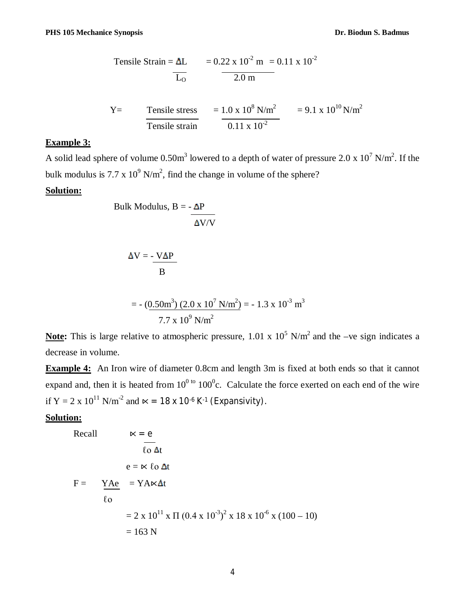Tensile Strain = 
$$
\Delta L
$$
 = 0.22 x 10<sup>-2</sup> m = 0.11 x 10<sup>-2</sup>  
 $\frac{L_0}{2.0 \text{ m}}$ 

Y= Tensile stress  
Tensile strain = 
$$
\frac{1.0 \times 10^8 \text{ N/m}^2}{0.11 \times 10^{-2}} = 9.1 \times 10^{10} \text{ N/m}^2
$$

## **Example 3:**

A solid lead sphere of volume 0.50m<sup>3</sup> lowered to a depth of water of pressure 2.0 x  $10^7$  N/m<sup>2</sup>. If the bulk modulus is 7.7 x  $10^9$  N/m<sup>2</sup>, find the change in volume of the sphere?

## **Solution:**

Bulk Modulus, B = 
$$
-\frac{\Delta P}{\Delta V/V}
$$

$$
\Delta V = -\frac{V\Delta P}{B}
$$

= 
$$
-(0.50 \text{m}^3) (2.0 \text{ x } 10^7 \text{ N/m}^2) = -1.3 \text{ x } 10^{-3} \text{ m}^3
$$
  
7.7 x 10<sup>9</sup> N/m<sup>2</sup>

**Note:** This is large relative to atmospheric pressure,  $1.01 \times 10^5$  N/m<sup>2</sup> and the –ve sign indicates a decrease in volume.

**Example 4:** An Iron wire of diameter 0.8cm and length 3m is fixed at both ends so that it cannot expand and, then it is heated from  $10^{0 \text{ to } 100^{0}c$ . Calculate the force exerted on each end of the wire if Y = 2 x  $10^{11}$  N/m<sup>-2</sup> and  $\kappa$  = 18 x 10<sup>-6</sup> K<sup>-1</sup> (Expansivity).

### **Solution:**

Recall 
$$
\kappa = e
$$
  
\n
$$
\frac{1}{\log \Delta t}
$$
\n
$$
e = k \log \Delta t
$$
\n
$$
F = \frac{YAe}{\log \log \Delta t} = YA \times \Delta t
$$
\n
$$
= 2 \times 10^{11} \times \Pi (0.4 \times 10^{-3})^2 \times 18 \times 10^{-6} \times (100 - 10)
$$
\n
$$
= 163 \text{ N}
$$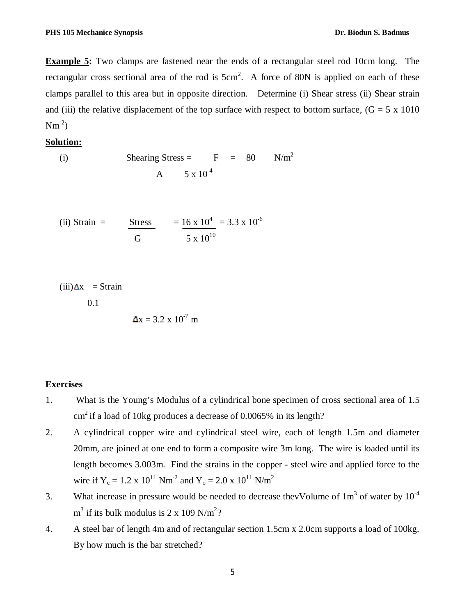**Example 5:** Two clamps are fastened near the ends of a rectangular steel rod 10cm long. The rectangular cross sectional area of the rod is  $5cm^2$ . A force of 80N is applied on each of these clamps parallel to this area but in opposite direction. Determine (i) Shear stress (ii) Shear strain and (iii) the relative displacement of the top surface with respect to bottom surface,  $(G = 5 \times 1010)$  $Nm^{-2}$ 

# **Solution:**

(i) Shearing Stress = 
$$
F = 80
$$
 N/m<sup>2</sup>  
A  $5 \times 10^{-4}$ 

(ii) Strain = 
$$
\frac{\text{Stress}}{\text{G}} = \frac{16 \times 10^4}{5 \times 10^{10}} = 3.3 \times 10^{-6}
$$

(iii) 
$$
\Delta x
$$
 = Strain  
0.1  

$$
\Delta x = 3.2 \times 10^{-7} \text{ m}
$$

#### **Exercises**

- 1. What is the Young's Modulus of a cylindrical bone specimen of cross sectional area of 1.5 cm 2 if a load of 10kg produces a decrease of 0.0065% in its length?
- 2. A cylindrical copper wire and cylindrical steel wire, each of length 1.5m and diameter 20mm, are joined at one end to form a composite wire 3m long. The wire is loaded until its length becomes 3.003m. Find the strains in the copper - steel wire and applied force to the wire if  $Y_c = 1.2 \times 10^{11}$  Nm<sup>-2</sup> and  $Y_o = 2.0 \times 10^{11}$  N/m<sup>2</sup>
- 3. What increase in pressure would be needed to decrease the Volume of  $1m<sup>3</sup>$  of water by  $10<sup>-4</sup>$  $m^3$  if its bulk modulus is 2 x 109 N/m<sup>2</sup>?
- 4. A steel bar of length 4m and of rectangular section 1.5cm x 2.0cm supports a load of 100kg. By how much is the bar stretched?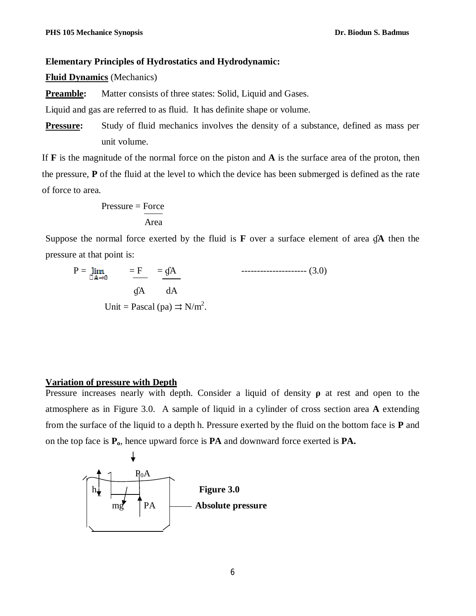### **Elementary Principles of Hydrostatics and Hydrodynamic:**

**Fluid Dynamics** (Mechanics)

**Preamble:** Matter consists of three states: Solid, Liquid and Gases.

Liquid and gas are referred to as fluid. It has definite shape or volume.

**Pressure:** Study of fluid mechanics involves the density of a substance, defined as mass per unit volume.

If **F** is the magnitude of the normal force on the piston and **A** is the surface area of the proton, then the pressure, **P** of the fluid at the level to which the device has been submerged is defined as the rate of force to area.

$$
Pressure = \frac{Force}{Area}
$$

Suppose the normal force exerted by the fluid is  $\bf{F}$  over a surface element of area  $\bf{g}$ **A** then the pressure at that point is:

$$
P = \lim_{\Box A \to 0} \qquad = \frac{F}{\Box A} \qquad \qquad \text{---}
$$
 (3.0)  
gA  
Unit = Pascal (pa)  $\Rightarrow N/m^2$ .

#### **Variation of pressure with Depth**

Pressure increases nearly with depth. Consider a liquid of density **ρ** at rest and open to the atmosphere as in Figure 3.0. A sample of liquid in a cylinder of cross section area **A** extending from the surface of the liquid to a depth h. Pressure exerted by the fluid on the bottom face is **P** and on the top face is **Po**, hence upward force is **PA** and downward force exerted is **PA.**

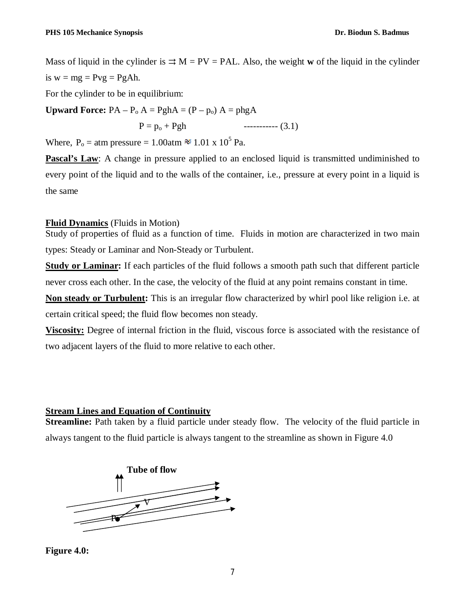Mass of liquid in the cylinder is  $\Rightarrow$  M = PV = PAL. Also, the weight **w** of the liquid in the cylinder is  $w = mg = Pyg = PgAh$ .

For the cylinder to be in equilibrium:

**Upward Force:**  $PA - P_0 A = PghA = (P - p_0) A = phgA$ 

 $P = p_0 + Pgh$  ----------- (3.1)

Where,  $P_o = \text{atm pressure} = 1.00 \text{atm} \approx 1.01 \times 10^5 \text{ Pa.}$ 

**Pascal's Law**: A change in pressure applied to an enclosed liquid is transmitted undiminished to every point of the liquid and to the walls of the container, i.e., pressure at every point in a liquid is the same

# **Fluid Dynamics** (Fluids in Motion)

Study of properties of fluid as a function of time. Fluids in motion are characterized in two main types: Steady or Laminar and Non-Steady or Turbulent.

**Study or Laminar:** If each particles of the fluid follows a smooth path such that different particle never cross each other. In the case, the velocity of the fluid at any point remains constant in time.

**Non steady or Turbulent:** This is an irregular flow characterized by whirl pool like religion i.e. at certain critical speed; the fluid flow becomes non steady.

**Viscosity:** Degree of internal friction in the fluid, viscous force is associated with the resistance of two adjacent layers of the fluid to more relative to each other.

# **Stream Lines and Equation of Continuity**

**Streamline:** Path taken by a fluid particle under steady flow. The velocity of the fluid particle in always tangent to the fluid particle is always tangent to the streamline as shown in Figure 4.0



**Figure 4.0:**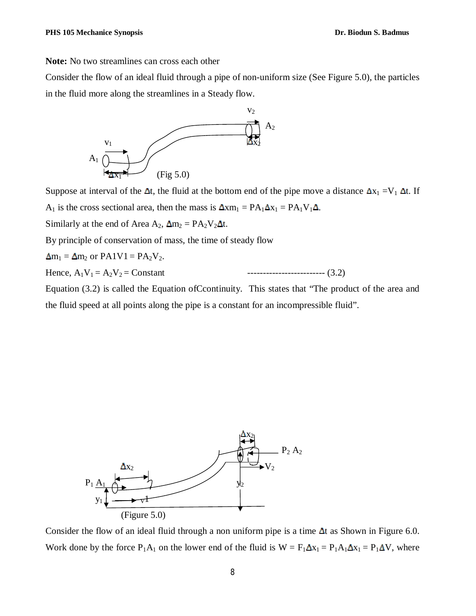**Note:** No two streamlines can cross each other

Consider the flow of an ideal fluid through a pipe of non-uniform size (See Figure 5.0), the particles in the fluid more along the streamlines in a Steady flow.



Suppose at interval of the  $\Delta t$ , the fluid at the bottom end of the pipe move a distance  $\Delta x_1 = V_1 \Delta t$ . If  $A_1$  is the cross sectional area, then the mass is  $\Delta x m_1 = PA_1 \Delta x_1 = PA_1 V_1 \Delta$ . Similarly at the end of Area  $A_2$ ,  $\Delta m_2 = PA_2V_2\Delta t$ . By principle of conservation of mass, the time of steady flow  $\Delta m_1 = \Delta m_2$  or PA1V1 = PA<sub>2</sub>V<sub>2</sub>. Hence, A1V<sup>1</sup> = A2V<sup>2</sup> = Constant ------------------------- (3.2) Equation (3.2) is called the Equation ofCcontinuity. This states that "The product of the area and

the fluid speed at all points along the pipe is a constant for an incompressible fluid".



Consider the flow of an ideal fluid through a non uniform pipe is a time  $\Delta t$  as Shown in Figure 6.0. Work done by the force  $P_1A_1$  on the lower end of the fluid is  $W = F_1 \Delta x_1 = P_1A_1 \Delta x_1 = P_1 \Delta V$ , where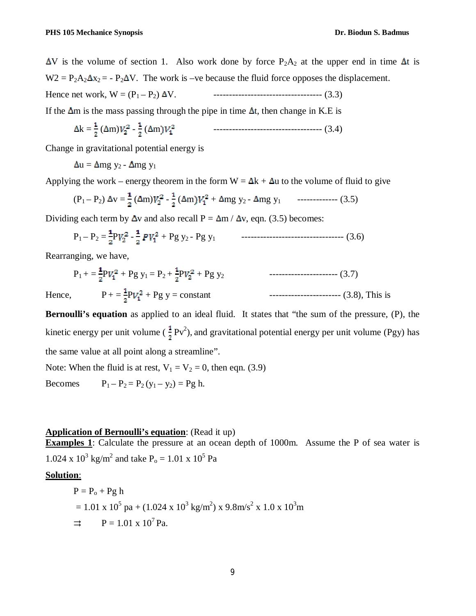$\Delta V$  is the volume of section 1. Also work done by force P<sub>2</sub>A<sub>2</sub> at the upper end in time  $\Delta t$  is  $W2 = P_2A_2\Delta x_2 = -P_2\Delta V$ . The work is –ve because the fluid force opposes the displacement. Hence net work, W = (P1 – P2) V. ----------------------------------- (3.3)

If the  $\Delta m$  is the mass passing through the pipe in time  $\Delta t$ , then change in K.E is

The 
$$
\Delta
$$
 in is the mass passing through the pipe in time  $\Delta$ , then change in K.E is

k = ( m) - ( m ----------------------------------- (3.4)

Change in gravitational potential energy is

$$
\Delta u = \Delta mg y_2 - \Delta mg y_1
$$

Applying the work – energy theorem in the form  $W = \Delta k + \Delta u$  to the volume of fluid to give

$$
(P_1 - P_2) \Delta v = \frac{1}{2} (\Delta m) V_2^2 - \frac{1}{2} (\Delta m) V_1^2 + \Delta m g y_2 - \Delta m g y_1 \quad \text{-----} \tag{3.5}
$$

Dividing each term by  $\Delta v$  and also recall P =  $\Delta m / \Delta v$ , eqn. (3.5) becomes:

$$
P_1 - P_2 = \frac{1}{2} P V_2^2 - \frac{1}{2} P V_1^2 + P g y_2 - P g y_1
$$
 3.6

Rearranging, we have,

$$
P_1 + = \frac{1}{2} P V_1^2 + P g y_1 = P_2 + \frac{1}{2} P V_2^2 + P g y_2
$$
 (3.7)  
Hence, 
$$
P_1 = \frac{1}{2} P V_1^2 + P g y = \text{constant}
$$
 (3.8), This is

**Bernoulli's equation** as applied to an ideal fluid. It states that "the sum of the pressure, (P), the kinetic energy per unit volume ( $\frac{1}{3} \text{Pv}^2$ ), and gravitational potential energy per unit volume (Pgy) has the same value at all point along a streamline".

Note: When the fluid is at rest,  $V_1 = V_2 = 0$ , then eqn. (3.9)

Becomes  $P_1 - P_2 = P_2(y_1 - y_2) = P_2 h$ .

### **Application of Bernoulli's equation**: (Read it up)

**Examples 1**: Calculate the pressure at an ocean depth of 1000m. Assume the P of sea water is 1.024 x  $10^3$  kg/m<sup>2</sup> and take P<sub>0</sub> = 1.01 x  $10^5$  Pa

## **Solution**:

P = P<sup>o</sup> + Pg h = 1.01 x 10<sup>5</sup> pa + (1.024 x 10<sup>3</sup> kg/m<sup>2</sup> ) x 9.8m/s<sup>2</sup> x 1.0 x 10<sup>3</sup>m ⇉ P = 1.01 x 10<sup>7</sup>Pa.